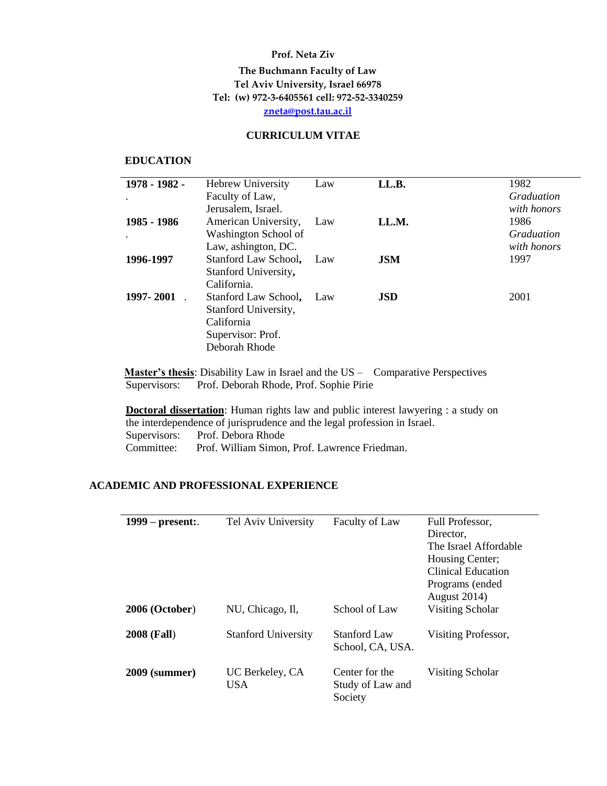#### **Prof. Neta Ziv**

## **The Buchmann Faculty of Law Tel Aviv University, Israel 66978 Tel: (w) 972-3-6405561 cell: 972-52-3340259 [zneta@post.tau.ac.il](mailto:zneta@post.tau.ac.il)**

#### **CURRICULUM VITAE**

#### **EDUCATION**

 $\overline{\phantom{a}}$ 

| 1978 - 1982 - | <b>Hebrew University</b> | Law | LL.B.      | 1982              |
|---------------|--------------------------|-----|------------|-------------------|
|               | Faculty of Law,          |     |            | <b>Graduation</b> |
|               | Jerusalem, Israel.       |     |            | with honors       |
| 1985 - 1986   | American University,     | Law | LL.M.      | 1986              |
|               | Washington School of     |     |            | Graduation        |
|               | Law, ashington, DC.      |     |            | with honors       |
| 1996-1997     | Stanford Law School,     | Law | <b>JSM</b> | 1997              |
|               | Stanford University,     |     |            |                   |
|               | California.              |     |            |                   |
| 1997-2001     | Stanford Law School,     | Law | <b>JSD</b> | 2001              |
|               | Stanford University,     |     |            |                   |
|               | California               |     |            |                   |
|               | Supervisor: Prof.        |     |            |                   |
|               | Deborah Rhode            |     |            |                   |
|               |                          |     |            |                   |

**Master's thesis**: Disability Law in Israel and the US – Comparative Perspectives Supervisors: Prof. Deborah Rhode, Prof. Sophie Pirie

**Doctoral dissertation**: Human rights law and public interest lawyering : a study on the interdependence of jurisprudence and the legal profession in Israel. Supervisors: Prof. Debora Rhode<br>Committee: Prof. William Simon Prof. William Simon, Prof. Lawrence Friedman.

### **ACADEMIC AND PROFESSIONAL EXPERIENCE**

| $1999$ – present:.   | Tel Aviv University        | Faculty of Law                                | Full Professor,<br>Director.<br>The Israel Affordable<br>Housing Center;<br><b>Clinical Education</b><br>Programs (ended<br><b>August 2014)</b> |
|----------------------|----------------------------|-----------------------------------------------|-------------------------------------------------------------------------------------------------------------------------------------------------|
| 2006 (October)       | NU, Chicago, Il,           | School of Law                                 | Visiting Scholar                                                                                                                                |
| <b>2008 (Fall)</b>   | <b>Stanford University</b> | Stanford Law<br>School, CA, USA.              | Visiting Professor,                                                                                                                             |
| <b>2009 (summer)</b> | UC Berkeley, CA<br>USA.    | Center for the<br>Study of Law and<br>Society | Visiting Scholar                                                                                                                                |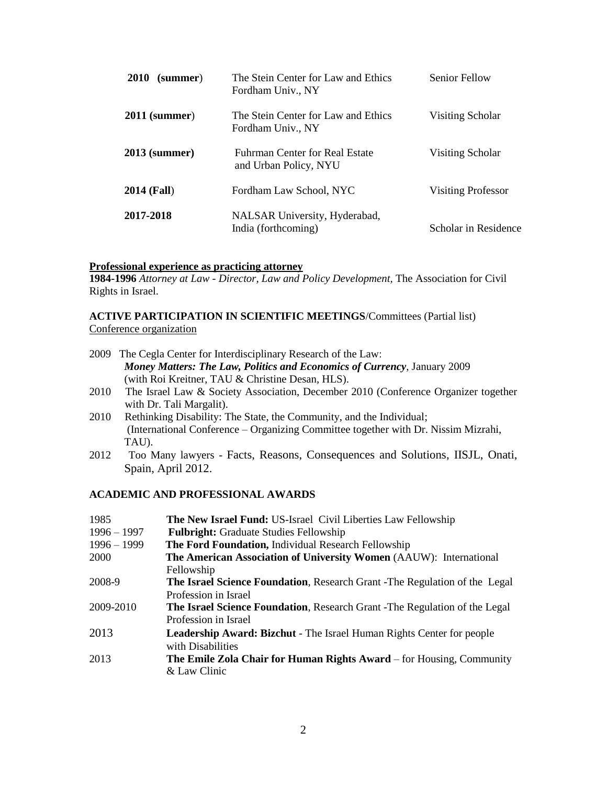| <b>2010</b><br>(summer) | The Stein Center for Law and Ethics<br>Fordham Univ., NY | <b>Senior Fellow</b>      |
|-------------------------|----------------------------------------------------------|---------------------------|
| $2011$ (summer)         | The Stein Center for Law and Ethics<br>Fordham Univ., NY | Visiting Scholar          |
| $2013$ (summer)         | Fuhrman Center for Real Estate<br>and Urban Policy, NYU  | Visiting Scholar          |
| <b>2014 (Fall)</b>      | Fordham Law School, NYC                                  | <b>Visiting Professor</b> |
| 2017-2018               | NALSAR University, Hyderabad,<br>India (forthcoming)     | Scholar in Residence      |

#### **Professional experience as practicing attorney**

**1984-1996** *Attorney at Law - Director, Law and Policy Development,* The Association for Civil Rights in Israel.

### **ACTIVE PARTICIPATION IN SCIENTIFIC MEETINGS**/Committees (Partial list) Conference organization

| 2009 The Cegla Center for Interdisciplinary Research of the Law:                |
|---------------------------------------------------------------------------------|
| <b>Money Matters: The Law, Politics and Economics of Currency, January 2009</b> |
| (with Roi Kreitner, TAU & Christine Desan, HLS).                                |
|                                                                                 |

- 2010 The Israel Law & Society Association, December 2010 (Conference Organizer together with Dr. Tali Margalit).
- 2010 Rethinking Disability: The State, the Community, and the Individual; (International Conference – Organizing Committee together with Dr. Nissim Mizrahi, TAU).
- 2012 Too Many lawyers Facts, Reasons, Consequences and Solutions, IISJL, Onati, Spain, April 2012.

## **ACADEMIC AND PROFESSIONAL AWARDS**

| 1985          | The New Israel Fund: US-Israel Civil Liberties Law Fellowship                     |
|---------------|-----------------------------------------------------------------------------------|
| $1996 - 1997$ | <b>Fulbright:</b> Graduate Studies Fellowship                                     |
| $1996 - 1999$ | The Ford Foundation, Individual Research Fellowship                               |
| 2000          | The American Association of University Women (AAUW): International                |
|               | Fellowship                                                                        |
| 2008-9        | <b>The Israel Science Foundation, Research Grant -The Regulation of the Legal</b> |
|               | Profession in Israel                                                              |
| 2009-2010     | <b>The Israel Science Foundation, Research Grant -The Regulation of the Legal</b> |
|               | Profession in Israel                                                              |
| 2013          | <b>Leadership Award: Bizchut</b> - The Israel Human Rights Center for people      |
|               | with Disabilities                                                                 |
| 2013          | <b>The Emile Zola Chair for Human Rights Award</b> – for Housing, Community       |
|               | & Law Clinic                                                                      |
|               |                                                                                   |